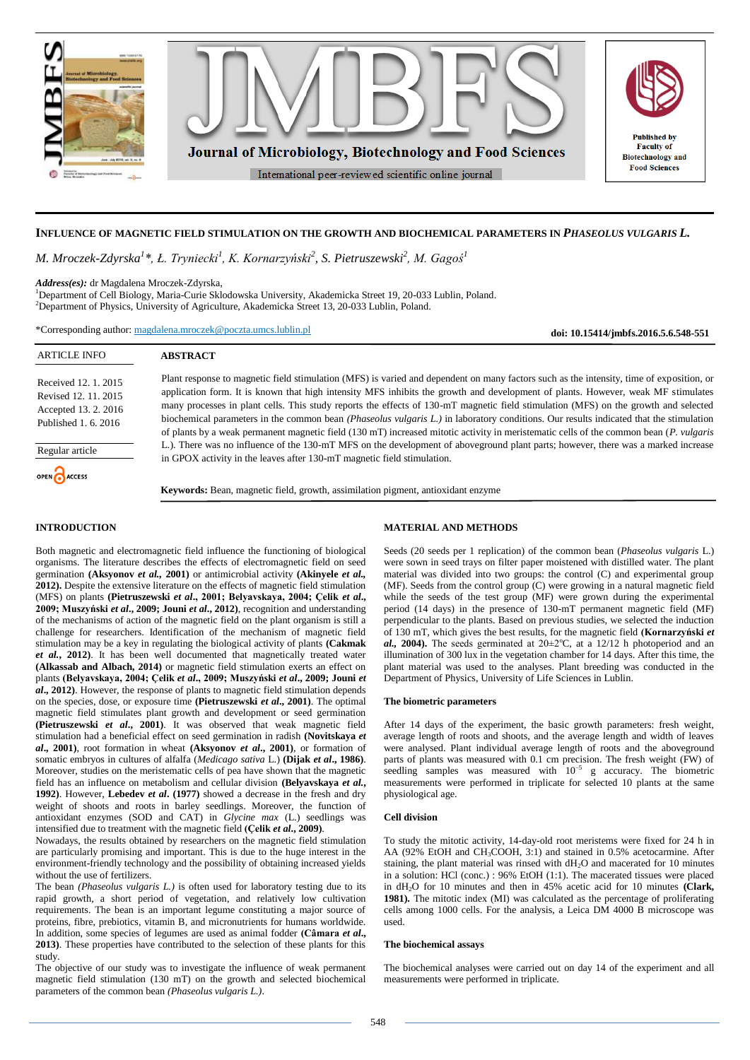

# **INFLUENCE OF MAGNETIC FIELD STIMULATION ON THE GROWTH AND BIOCHEMICAL PARAMETERS IN** *PHASEOLUS VULGARIS L.*

*M. Mroczek-Zdyrska<sup>1</sup> \*, Ł. Tryniecki<sup>1</sup> , K. Kornarzyński<sup>2</sup> , S. Pietruszewski<sup>2</sup> , M. Gagoś<sup>1</sup>*

*Address(es):* dr Magdalena Mroczek-Zdyrska,

<sup>1</sup>Department of Cell Biology, Maria-Curie Sklodowska University, Akademicka Street 19, 20-033 Lublin, Poland. <sup>2</sup>Department of Physics, University of Agriculture, Akademicka Street 13, 20-033 Lublin, Poland.

\*Corresponding author: [magdalena.mroczek@poczta.umcs.lublin.pl](mailto:magdalena.mroczek@poczta.umcs.lublin.pl)

**doi: 10.15414/jmbfs.2016.5.6.548-551**

| <b>ARTICLE INFO</b>                                                                                             | <b>ABSTRACT</b>                                                                                                                                                                                                                                                                                                                                                                                                                                                                                                                                                                                                                                                                                                                                                                                                                              |
|-----------------------------------------------------------------------------------------------------------------|----------------------------------------------------------------------------------------------------------------------------------------------------------------------------------------------------------------------------------------------------------------------------------------------------------------------------------------------------------------------------------------------------------------------------------------------------------------------------------------------------------------------------------------------------------------------------------------------------------------------------------------------------------------------------------------------------------------------------------------------------------------------------------------------------------------------------------------------|
| Received 12, 1, 2015<br>Revised 12, 11, 2015<br>Accepted 13. 2. 2016<br>Published 1, 6, 2016<br>Regular article | Plant response to magnetic field stimulation (MFS) is varied and dependent on many factors such as the intensity, time of exposition, or<br>application form. It is known that high intensity MFS inhibits the growth and development of plants. However, weak MF stimulates<br>many processes in plant cells. This study reports the effects of 130-mT magnetic field stimulation (MFS) on the growth and selected<br>biochemical parameters in the common bean (Phaseolus vulgaris L.) in laboratory conditions. Our results indicated that the stimulation<br>of plants by a weak permanent magnetic field (130 mT) increased mitotic activity in meristematic cells of the common bean (P. vulgaris<br>L.). There was no influence of the 130-mT MFS on the development of aboveground plant parts; however, there was a marked increase |
| OPEN ACCESS                                                                                                     | in GPOX activity in the leaves after 130-mT magnetic field stimulation.<br><b>Keywords:</b> Bean, magnetic field, growth, assimilation pigment, antioxidant enzyme                                                                                                                                                                                                                                                                                                                                                                                                                                                                                                                                                                                                                                                                           |

### **INTRODUCTION**

Both magnetic and electromagnetic field influence the functioning of biological organisms. The literature describes the effects of electromagnetic field on seed germination **(Aksyonov** *et al.,* **2001)** or antimicrobial activity **(Akinyele** *et al.,* **2012).** Despite the extensive literature on the effects of magnetic field stimulation (MFS) on plants **(Pietruszewski** *et al***., 2001; Belyavskaya, 2004; Çelik** *et al***., 2009; Muszyński** *et al***., 2009; Jouni** *et al***., 2012)**, recognition and understanding of the mechanisms of action of the magnetic field on the plant organism is still a challenge for researchers. Identification of the mechanism of magnetic field stimulation may be a key in regulating the biological activity of plants **(Cakmak**  *et al.***, 2012)**. It has been well documented that magnetically treated water **(Alkassab and Albach, 2014)** or magnetic field stimulation exerts an effect on plants **(Belyavskaya, 2004; Çelik** *et al***., 2009; Muszyński** *et al***., 2009; Jouni** *et al***., 2012)**. However, the response of plants to magnetic field stimulation depends on the species, dose, or exposure time **(Pietruszewski** *et al***., 2001)**. The optimal magnetic field stimulates plant growth and development or seed germination **(Pietruszewski** *et al***., 2001)**. It was observed that weak magnetic field stimulation had a beneficial effect on seed germination in radish **(Novitskaya** *et al***., 2001)**, root formation in wheat **(Aksyonov** *et al***., 2001)**, or formation of somatic embryos in cultures of alfalfa (*Medicago sativa* L.) **(Dijak** *et al***., 1986)**. Moreover, studies on the meristematic cells of pea have shown that the magnetic field has an influence on metabolism and cellular division **(Belyavskaya** *et al.***, 1992)**. However, **Lebedev** *et al***. (1977)** showed a decrease in the fresh and dry weight of shoots and roots in barley seedlings. Moreover, the function of antioxidant enzymes (SOD and CAT) in *Glycine max* (L.) seedlings was intensified due to treatment with the magnetic field **(Çelik** *et al***., 2009)**.

Nowadays, the results obtained by researchers on the magnetic field stimulation are particularly promising and important. This is due to the huge interest in the environment-friendly technology and the possibility of obtaining increased yields without the use of fertilizers.

The bean *(Phaseolus vulgaris L.)* is often used for laboratory testing due to its rapid growth, a short period of vegetation, and relatively low cultivation requirements. The bean is an important legume constituting a major source of proteins, fibre, prebiotics, vitamin B, and micronutrients for humans worldwide. In addition, some species of legumes are used as animal fodder **(Câmara** *et al***., 2013)**. These properties have contributed to the selection of these plants for this study.

The objective of our study was to investigate the influence of weak permanent magnetic field stimulation (130 mT) on the growth and selected biochemical parameters of the common bean *(Phaseolus vulgaris L.)*.

## **MATERIAL AND METHODS**

Seeds (20 seeds per 1 replication) of the common bean (*Phaseolus vulgaris* L.) were sown in seed trays on filter paper moistened with distilled water. The plant material was divided into two groups: the control (C) and experimental group (MF). Seeds from the control group (C) were growing in a natural magnetic field while the seeds of the test group (MF) were grown during the experimental period (14 days) in the presence of 130-mT permanent magnetic field (MF) perpendicular to the plants. Based on previous studies, we selected the induction of 130 mT, which gives the best results, for the magnetic field **(Kornarzyński** *et*   $a$ . **2004**). The seeds germinated at  $20 \pm 2^{\circ}$ C, at a  $12/12$  h photoperiod and an illumination of 300 lux in the vegetation chamber for 14 days. After this time, the plant material was used to the analyses. Plant breeding was conducted in the Department of Physics, University of Life Sciences in Lublin.

#### **The biometric parameters**

After 14 days of the experiment, the basic growth parameters: fresh weight, average length of roots and shoots, and the average length and width of leaves were analysed. Plant individual average length of roots and the aboveground parts of plants was measured with 0.1 cm precision. The fresh weight (FW) of seedling samples was measured with  $10^{-5}$  g accuracy. The biometric measurements were performed in triplicate for selected 10 plants at the same physiological age.

## **Cell division**

To study the mitotic activity, 14-day-old root meristems were fixed for 24 h in AA (92% EtOH and CH<sub>3</sub>COOH, 3:1) and stained in 0.5% acetocarmine. After staining, the plant material was rinsed with  $dH_2O$  and macerated for 10 minutes in a solution: HCl (conc.) : 96% EtOH (1:1). The macerated tissues were placed in dH2O for 10 minutes and then in 45% acetic acid for 10 minutes **(Clark, 1981).** The mitotic index (MI) was calculated as the percentage of proliferating cells among 1000 cells. For the analysis, a Leica DM 4000 B microscope was used.

#### **The biochemical assays**

The biochemical analyses were carried out on day 14 of the experiment and all measurements were performed in triplicate.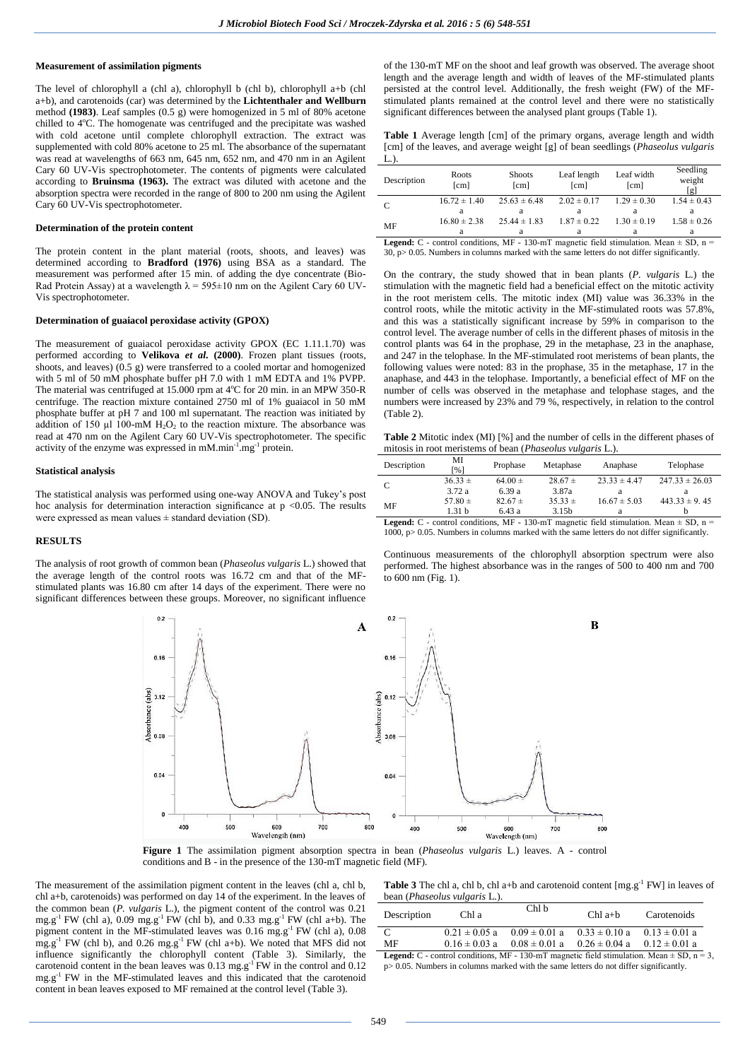# **Measurement of assimilation pigments**

The level of chlorophyll a (chl a), chlorophyll b (chl b), chlorophyll a+b (chl a+b), and carotenoids (car) was determined by the **Lichtenthaler and Wellburn**  method **(1983)**. Leaf samples (0.5 g) were homogenized in 5 ml of 80% acetone chilled to 4°C. The homogenate was centrifuged and the precipitate was washed with cold acetone until complete chlorophyll extraction. The extract was supplemented with cold 80% acetone to 25 ml. The absorbance of the supernatant was read at wavelengths of 663 nm, 645 nm, 652 nm, and 470 nm in an Agilent Cary 60 UV-Vis spectrophotometer. The contents of pigments were calculated according to **Bruinsma (1963).** The extract was diluted with acetone and the absorption spectra were recorded in the range of 800 to 200 nm using the Agilent Cary 60 UV-Vis spectrophotometer.

### **Determination of the protein content**

The protein content in the plant material (roots, shoots, and leaves) was determined according to **Bradford (1976)** using BSA as a standard. The measurement was performed after 15 min. of adding the dye concentrate (Bio-Rad Protein Assay) at a wavelength  $\lambda = 595 \pm 10$  nm on the Agilent Cary 60 UV-Vis spectrophotometer.

#### **Determination of guaiacol peroxidase activity (GPOX)**

The measurement of guaiacol peroxidase activity GPOX (EC 1.11.1.70) was performed according to **Velikova** *et al***. (2000)**. Frozen plant tissues (roots, shoots, and leaves)  $(0.5 \text{ g})$  were transferred to a cooled mortar and homogenized with 5 ml of 50 mM phosphate buffer pH 7.0 with 1 mM EDTA and 1% PVPP. The material was centrifuged at  $15.000$  rpm at  $4^{\circ}$ C for 20 min. in an MPW 350-R centrifuge. The reaction mixture contained 2750 ml of 1% guaiacol in 50 mM phosphate buffer at pH 7 and 100 ml supernatant. The reaction was initiated by addition of 150  $\mu$ l 100-mM H<sub>2</sub>O<sub>2</sub> to the reaction mixture. The absorbance was read at 470 nm on the Agilent Cary 60 UV-Vis spectrophotometer. The specific activity of the enzyme was expressed in mM.min<sup>-1</sup>.mg<sup>-1</sup> protein.

#### **Statistical analysis**

The statistical analysis was performed using one-way ANOVA and Tukey's post hoc analysis for determination interaction significance at  $p \le 0.05$ . The results were expressed as mean values  $\pm$  standard deviation (SD).

### **RESULTS**

The analysis of root growth of common bean (*Phaseolus vulgaris* L.) showed that the average length of the control roots was 16.72 cm and that of the MFstimulated plants was 16.80 cm after 14 days of the experiment. There were no significant differences between these groups. Moreover, no significant influence of the 130-mT MF on the shoot and leaf growth was observed. The average shoot length and the average length and width of leaves of the MF-stimulated plants persisted at the control level. Additionally, the fresh weight (FW) of the MFstimulated plants remained at the control level and there were no statistically significant differences between the analysed plant groups (Table 1).

**Table 1** Average length [cm] of the primary organs, average length and width [cm] of the leaves, and average weight [g] of bean seedlings (*Phaseolus vulgaris* L.).

| Description      | Roots<br>[cm]    | <b>Shoots</b><br>[cm] | Leaf length<br>[cm] | Leaf width<br>[cm] | Seedling<br>weight<br>[g] |
|------------------|------------------|-----------------------|---------------------|--------------------|---------------------------|
|                  | $16.72 \pm 1.40$ | $25.63 \pm 6.48$      | $2.02 \pm 0.17$     | $1.29 \pm 0.30$    | $1.54 \pm 0.43$           |
|                  | а                |                       |                     |                    |                           |
| MF               | $16.80 \pm 2.38$ | $25.44 \pm 1.83$      | $1.87 \pm 0.22$     | $1.30 \pm 0.19$    | $1.58 \pm 0.26$           |
|                  | a                |                       | а                   | a                  | a                         |
| 1. 1. . <i>n</i> |                  |                       |                     |                    |                           |

 $C$  - control conditions, MF - 130-mT magnetic field stimulation. Mean  $\pm$  SD, n =  $30, p > 0.05$ . Numbers in columns marked with the same letters do not differ significantly.

On the contrary, the study showed that in bean plants (*P. vulgaris* L.) the stimulation with the magnetic field had a beneficial effect on the mitotic activity in the root meristem cells. The mitotic index (MI) value was 36.33% in the control roots, while the mitotic activity in the MF-stimulated roots was 57.8%, and this was a statistically significant increase by 59% in comparison to the control level. The average number of cells in the different phases of mitosis in the control plants was 64 in the prophase, 29 in the metaphase, 23 in the anaphase, and 247 in the telophase. In the MF-stimulated root meristems of bean plants, the following values were noted: 83 in the prophase, 35 in the metaphase, 17 in the anaphase, and 443 in the telophase. Importantly, a beneficial effect of MF on the number of cells was observed in the metaphase and telophase stages, and the numbers were increased by 23% and 79 %, respectively, in relation to the control (Table 2).

**Table 2** Mitotic index (MI) [%] and the number of cells in the different phases of mitosis in root meristems of bean (*Phaseolus vulgaris* L.).

| Description | МI<br>[%]   | Prophase    | Metaphase         | Anaphase         | Telophase          |
|-------------|-------------|-------------|-------------------|------------------|--------------------|
| C           | $36.33 \pm$ | $64.00 \pm$ | $28.67 \pm$       | $23.33 \pm 4.47$ | $247.33 \pm 26.03$ |
|             | 3.72a       | 6.39 a      | 3.87a             |                  |                    |
| MF          | 57.80 $\pm$ | $82.67 \pm$ | $35.33 \pm$       | $16.67 \pm 5.03$ | $443.33 \pm 9.45$  |
|             | 1.31 b      | 6.43a       | 3.15 <sub>b</sub> |                  |                    |

**Legend:**  $C$  - control conditions, MF - 130-mT magnetic field stimulation. Mean  $\pm$  SD, n = 1000, p> 0.05. Numbers in columns marked with the same letters do not differ significantly.

Continuous measurements of the chlorophyll absorption spectrum were also performed. The highest absorbance was in the ranges of 500 to 400 nm and 700 to 600 nm (Fig. 1).



**Figure 1** The assimilation pigment absorption spectra in bean (*Phaseolus vulgaris* L.) leaves. A - control conditions and B - in the presence of the 130-mT magnetic field (MF).

The measurement of the assimilation pigment content in the leaves (chl a, chl b, chl a+b, carotenoids) was performed on day 14 of the experiment. In the leaves of the common bean (*P. vulgaris* L.), the pigment content of the control was 0.21  $mg.g^{-1}$  FW (chl a), 0.09  $mg.g^{-1}$  FW (chl b), and 0.33  $mg.g^{-1}$  FW (chl a+b). The pigment content in the MF-stimulated leaves was  $0.16$  mg.g<sup>-1</sup> FW (chl a),  $0.08$  $mg.g^{-1}$  FW (chl b), and 0.26 mg.g<sup>-1</sup> FW (chl a+b). We noted that MFS did not influence significantly the chlorophyll content (Table 3). Similarly, the carotenoid content in the bean leaves was  $0.13 \text{ mg} \cdot \text{g}^{-1}$  FW in the control and  $0.12$ mg.g -1 FW in the MF-stimulated leaves and this indicated that the carotenoid content in bean leaves exposed to MF remained at the control level (Table 3).

**Table 3** The chl a, chl b, chl a+b and carotenoid content  $[mg.g^{-1} F W]$  in leaves of bean (*Phaseolus vulgaris* L.).

| Description                                                                                          | Chl a             | Chl b                               | $Chl$ a+ $b$                        | Carotenoids       |  |
|------------------------------------------------------------------------------------------------------|-------------------|-------------------------------------|-------------------------------------|-------------------|--|
| C                                                                                                    | $0.21 \pm 0.05$ a | $0.09 \pm 0.01$ a $0.33 \pm 0.10$ a |                                     | $0.13 \pm 0.01$ a |  |
| MF                                                                                                   | $0.16 \pm 0.03$ a |                                     | $0.08 \pm 0.01$ a $0.26 \pm 0.04$ a | $0.12 \pm 0.01$ a |  |
| <b>Legend:</b> C - control conditions, MF - 130-mT magnetic field stimulation. Mean $\pm$ SD, n = 3, |                   |                                     |                                     |                   |  |

 $p>0.05$ . Numbers in columns marked with the same letters do not differ significantly.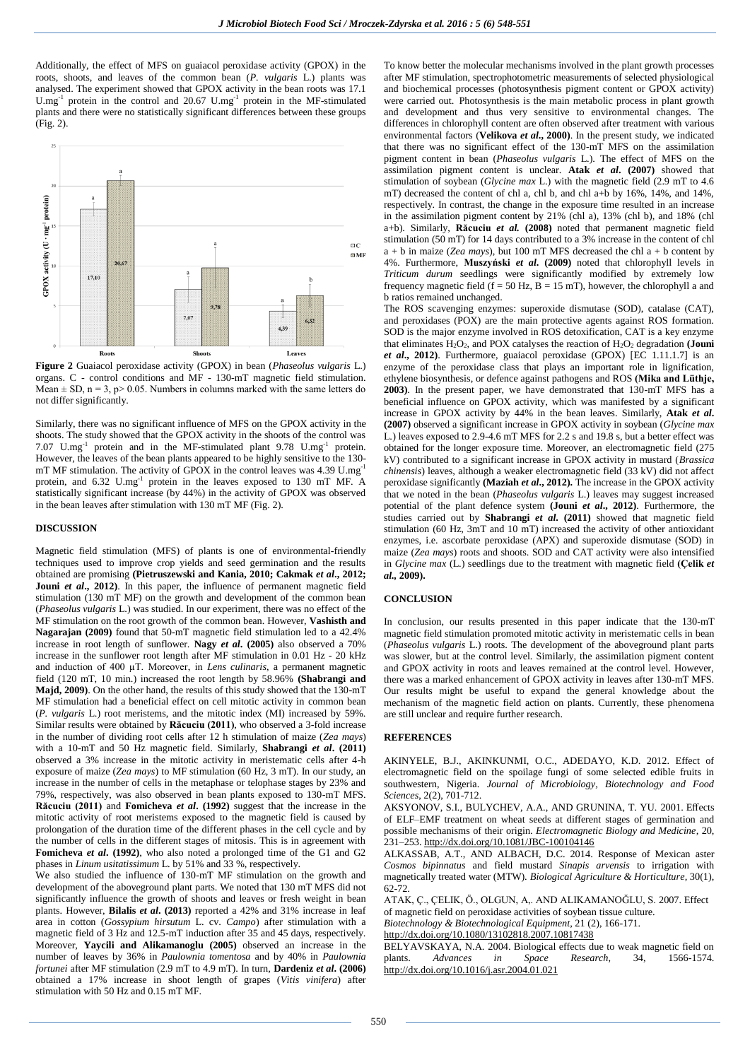Additionally, the effect of MFS on guaiacol peroxidase activity (GPOX) in the roots, shoots, and leaves of the common bean (*P. vulgaris* L.) plants was analysed. The experiment showed that GPOX activity in the bean roots was 17.1 U.mg<sup>-1</sup> protein in the control and 20.67 U.mg<sup>-1</sup> protein in the MF-stimulated plants and there were no statistically significant differences between these groups (Fig. 2).



**Figure 2** Guaiacol peroxidase activity (GPOX) in bean (*Phaseolus vulgaris* L.) organs. C - control conditions and MF - 130-mT magnetic field stimulation. Mean  $\pm$  SD, n = 3, p > 0.05. Numbers in columns marked with the same letters do not differ significantly.

Similarly, there was no significant influence of MFS on the GPOX activity in the shoots. The study showed that the GPOX activity in the shoots of the control was 7.07 U.mg<sup>-1</sup> protein and in the MF-stimulated plant 9.78 U.mg<sup>-1</sup> protein. However, the leaves of the bean plants appeared to be highly sensitive to the 130 mT MF stimulation. The activity of GPOX in the control leaves was 4.39  $U.mg^{-1}$ protein, and 6.32 U.mg<sup>-1</sup> protein in the leaves exposed to 130 mT MF. A statistically significant increase (by 44%) in the activity of GPOX was observed in the bean leaves after stimulation with 130 mT MF (Fig. 2).

#### **DISCUSSION**

Magnetic field stimulation (MFS) of plants is one of environmental-friendly techniques used to improve crop yields and seed germination and the results obtained are promising **(Pietruszewski and Kania, 2010; Cakmak** *et al***., 2012;**  Jouni *et al.*, 2012). In this paper, the influence of permanent magnetic field stimulation (130 mT MF) on the growth and development of the common bean (*Phaseolus vulgaris* L.) was studied. In our experiment, there was no effect of the MF stimulation on the root growth of the common bean. However, **Vashisth and Nagarajan (2009)** found that 50-mT magnetic field stimulation led to a 42.4% increase in root length of sunflower. **Nagy** *et al***. (2005)** also observed a 70% increase in the sunflower root length after MF stimulation in 0.01 Hz - 20 kHz and induction of 400 µT. Moreover, in *Lens culinaris*, a permanent magnetic field (120 mT, 10 min.) increased the root length by 58.96% **(Shabrangi and Majd, 2009)**. On the other hand, the results of this study showed that the 130-mT MF stimulation had a beneficial effect on cell mitotic activity in common bean (*P. vulgaris* L.) root meristems, and the mitotic index (MI) increased by 59%. Similar results were obtained by **Răcuciu (2011)**, who observed a 3-fold increase in the number of dividing root cells after 12 h stimulation of maize (*Zea mays*) with a 10-mT and 50 Hz magnetic field. Similarly, **Shabrangi** *et al***. (2011)** observed a 3% increase in the mitotic activity in meristematic cells after 4-h exposure of maize (*Zea mays*) to MF stimulation (60 Hz, 3 mT). In our study, an increase in the number of cells in the metaphase or telophase stages by 23% and 79%, respectively, was also observed in bean plants exposed to 130-mT MFS. **Răcuciu (2011)** and **Fomicheva** *et al***. (1992)** suggest that the increase in the mitotic activity of root meristems exposed to the magnetic field is caused by prolongation of the duration time of the different phases in the cell cycle and by the number of cells in the different stages of mitosis. This is in agreement with **Fomicheva** *et al***. (1992)**, who also noted a prolonged time of the G1 and G2 phases in *Linum usitatissimum* L. by 51% and 33 %, respectively.

We also studied the influence of 130-mT MF stimulation on the growth and development of the aboveground plant parts. We noted that 130 mT MFS did not significantly influence the growth of shoots and leaves or fresh weight in bean plants. However, **Bilalis** *et al***. (2013)** reported a 42% and 31% increase in leaf area in cotton (*Gossypium hirsutum* L. cv. *Campo*) after stimulation with a magnetic field of 3 Hz and 12.5-mT induction after 35 and 45 days, respectively. Moreover, **Yaycili and Alikamanoglu (2005)** observed an increase in the number of leaves by 36% in *Paulownia tomentosa* and by 40% in *Paulownia fortunei* after MF stimulation (2.9 mT to 4.9 mT). In turn, **Dardeniz** *et al***. (2006)** obtained a 17% increase in shoot length of grapes (*Vitis vinifera*) after stimulation with 50 Hz and 0.15 mT MF.

To know better the molecular mechanisms involved in the plant growth processes after MF stimulation, spectrophotometric measurements of selected physiological and biochemical processes (photosynthesis pigment content or GPOX activity) were carried out. Photosynthesis is the main metabolic process in plant growth and development and thus very sensitive to environmental changes. The differences in chlorophyll content are often observed after treatment with various environmental factors (**Velikova** *et al***., 2000)**. In the present study, we indicated that there was no significant effect of the 130-mT MFS on the assimilation pigment content in bean (*Phaseolus vulgaris* L.). The effect of MFS on the assimilation pigment content is unclear. **Atak** *et al***. (2007)** showed that stimulation of soybean (*Glycine max* L.) with the magnetic field (2.9 mT to 4.6 mT) decreased the content of chl a, chl b, and chl a+b by 16%, 14%, and 14%, respectively. In contrast, the change in the exposure time resulted in an increase in the assimilation pigment content by 21% (chl a), 13% (chl b), and 18% (chl a+b). Similarly, **Răcuciu** *et al.* **(2008)** noted that permanent magnetic field stimulation (50 mT) for 14 days contributed to a 3% increase in the content of chl  $a + b$  in maize (*Zea mays*), but 100 mT MFS decreased the chl  $a + b$  content by 4%. Furthermore, **Muszyński** *et al***. (2009)** noted that chlorophyll levels in *Triticum durum* seedlings were significantly modified by extremely low frequency magnetic field (f = 50 Hz,  $\overline{B}$  = 15 mT), however, the chlorophyll a and b ratios remained unchanged.

The ROS scavenging enzymes: superoxide dismutase (SOD), catalase (CAT), and peroxidases (POX) are the main protective agents against ROS formation. SOD is the major enzyme involved in ROS detoxification, CAT is a key enzyme that eliminates  $H_2O_2$ , and POX catalyses the reaction of  $H_2O_2$  degradation (**Jouni** *et al***., 2012)**. Furthermore, guaiacol peroxidase (GPOX) [EC 1.11.1.7] is an enzyme of the peroxidase class that plays an important role in lignification, ethylene biosynthesis, or defence against pathogens and ROS **(Mika and Lüthje, 2003)**. In the present paper, we have demonstrated that 130-mT MFS has a beneficial influence on GPOX activity, which was manifested by a significant increase in GPOX activity by 44% in the bean leaves. Similarly, **Atak** *et al***. (2007)** observed a significant increase in GPOX activity in soybean (*Glycine max* L.) leaves exposed to 2.9-4.6 mT MFS for 2.2 s and 19.8 s, but a better effect was obtained for the longer exposure time. Moreover, an electromagnetic field (275 kV) contributed to a significant increase in GPOX activity in mustard (*Brassica chinensis*) leaves, although a weaker electromagnetic field (33 kV) did not affect peroxidase significantly **(Maziah** *et al***., 2012).** The increase in the GPOX activity that we noted in the bean (*Phaseolus vulgaris* L.) leaves may suggest increased potential of the plant defence system **(Jouni** *et al***., 2012)**. Furthermore, the studies carried out by **Shabrangi** *et al***. (2011)** showed that magnetic field stimulation (60 Hz, 3mT and 10 mT) increased the activity of other antioxidant enzymes, i.e. ascorbate peroxidase (APX) and superoxide dismutase (SOD) in maize (*Zea mays*) roots and shoots. SOD and CAT activity were also intensified in *Glycine max* (L.) seedlings due to the treatment with magnetic field **(Çelik** *et al.,* **2009).**

# **CONCLUSION**

In conclusion, our results presented in this paper indicate that the 130-mT magnetic field stimulation promoted mitotic activity in meristematic cells in bean (*Phaseolus vulgaris* L.) roots. The development of the aboveground plant parts was slower, but at the control level. Similarly, the assimilation pigment content and GPOX activity in roots and leaves remained at the control level. However, there was a marked enhancement of GPOX activity in leaves after 130-mT MFS. Our results might be useful to expand the general knowledge about the mechanism of the magnetic field action on plants. Currently, these phenomena are still unclear and require further research.

#### **REFERENCES**

AKINYELE, B.J., AKINKUNMI, O.C., ADEDAYO, K.D. 2012. Effect of electromagnetic field on the spoilage fungi of some selected edible fruits in southwestern, Nigeria. *Journal of Microbiology, Biotechnology and Food Sciences*, 2(2), 701-712.

AKSYONOV, S.I., BULYCHEV, A.A., AND GRUNINA, T. YU. 2001. Effects of ELF–EMF treatment on wheat seeds at different stages of germination and possible mechanisms of their origin. *Electromagnetic Biology and Medicine,* 20, 231–253. <http://dx.doi.org/10.1081/JBC-100104146>

ALKASSAB, A.T., AND ALBACH, D.C. 2014. Response of Mexican aster *Cosmos bipinnatus* and field mustard *Sinapis arvensis* to irrigation with magnetically treated water (MTW). *Biological Agriculture & Horticulture,* 30(1), 62-72.

ATAK, Ç., ÇELIK, Ö., OLGUN, A,. AND ALIKAMANOĞLU, S. 2007. Effect of magnetic field on peroxidase activities of soybean tissue culture.

*Biotechnology & Biotechnological Equipment*, 21 (2), 166-171.

<http://dx.doi.org/10.1080/13102818.2007.10817438>

BELYAVSKAYA, N.A. 2004. Biological effects due to weak magnetic field on plants. *Advances in Space Research,* 34, 1566-1574. <http://dx.doi.org/10.1016/j.asr.2004.01.021>